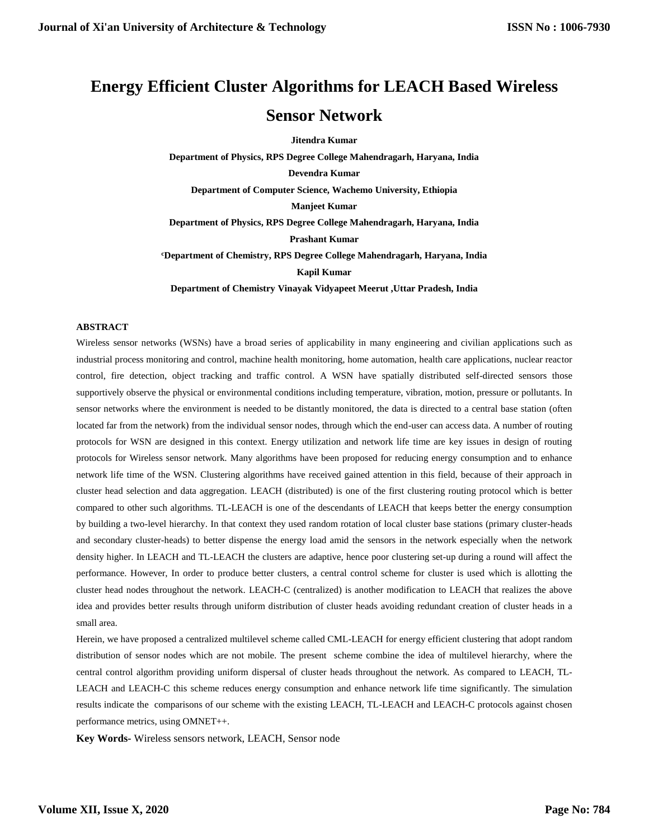# **Energy Efficient Cluster Algorithms for LEACH Based Wireless Sensor Network**

**Jitendra Kumar Department of Physics, RPS Degree College Mahendragarh, Haryana, India Devendra Kumar Department of Computer Science, Wachemo University, Ethiopia Manjeet Kumar Department of Physics, RPS Degree College Mahendragarh, Haryana, India Prashant Kumar <sup>c</sup>Department of Chemistry, RPS Degree College Mahendragarh, Haryana, India Kapil Kumar Department of Chemistry Vinayak Vidyapeet Meerut ,Uttar Pradesh, India**

#### **ABSTRACT**

Wireless sensor networks (WSNs) have a broad series of applicability in many engineering and civilian applications such as industrial process monitoring and control, machine health monitoring, home automation, health care applications, nuclear reactor control, fire detection, object tracking and traffic control. A WSN have spatially distributed self-directed sensors those supportively observe the physical or environmental conditions including temperature, vibration, motion, pressure or pollutants. In sensor networks where the environment is needed to be distantly monitored, the data is directed to a central base station (often located far from the network) from the individual sensor nodes, through which the end-user can access data. A number of routing protocols for WSN are designed in this context. Energy utilization and network life time are key issues in design of routing protocols for Wireless sensor network. Many algorithms have been proposed for reducing energy consumption and to enhance network life time of the WSN. Clustering algorithms have received gained attention in this field, because of their approach in cluster head selection and data aggregation. LEACH (distributed) is one of the first clustering routing protocol which is better compared to other such algorithms. TL-LEACH is one of the descendants of LEACH that keeps better the energy consumption by building a two-level hierarchy. In that context they used random rotation of local cluster base stations (primary cluster-heads and secondary cluster-heads) to better dispense the energy load amid the sensors in the network especially when the network density higher. In LEACH and TL-LEACH the clusters are adaptive, hence poor clustering set-up during a round will affect the performance. However, In order to produce better clusters, a central control scheme for cluster is used which is allotting the cluster head nodes throughout the network. LEACH-C (centralized) is another modification to LEACH that realizes the above idea and provides better results through uniform distribution of cluster heads avoiding redundant creation of cluster heads in a small area.

Herein, we have proposed a centralized multilevel scheme called CML-LEACH for energy efficient clustering that adopt random distribution of sensor nodes which are not mobile. The present scheme combine the idea of multilevel hierarchy, where the central control algorithm providing uniform dispersal of cluster heads throughout the network. As compared to LEACH, TL-LEACH and LEACH-C this scheme reduces energy consumption and enhance network life time significantly. The simulation results indicate the comparisons of our scheme with the existing LEACH, TL-LEACH and LEACH-C protocols against chosen performance metrics, using OMNET++.

**Key Words-** Wireless sensors network, LEACH, Sensor node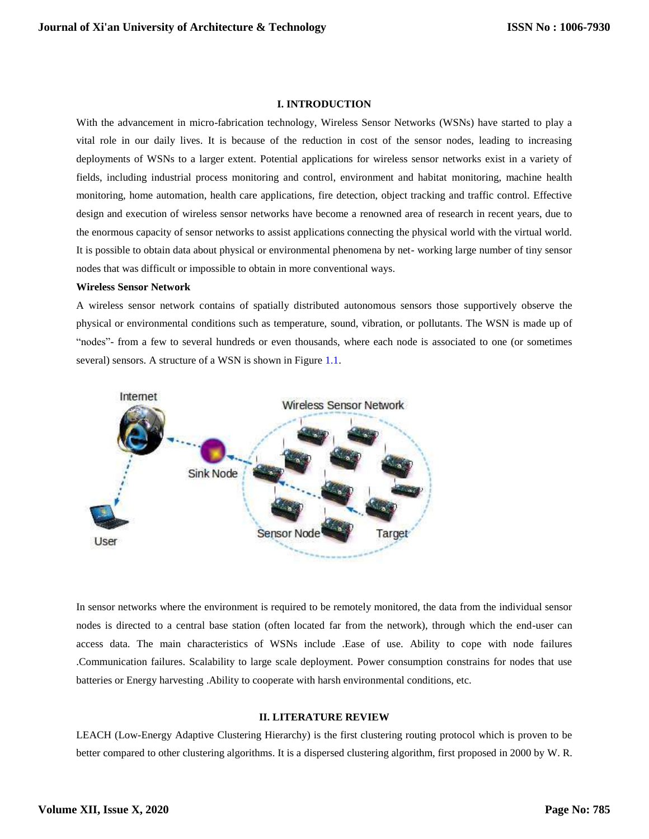#### **I. INTRODUCTION**

With the advancement in micro-fabrication technology, Wireless Sensor Networks (WSNs) have started to play a vital role in our daily lives. It is because of the reduction in cost of the sensor nodes, leading to increasing deployments of WSNs to a larger extent. Potential applications for wireless sensor networks exist in a variety of fields, including industrial process monitoring and control, environment and habitat monitoring, machine health monitoring, home automation, health care applications, fire detection, object tracking and traffic control. Effective design and execution of wireless sensor networks have become a renowned area of research in recent years, due to the enormous capacity of sensor networks to assist applications connecting the physical world with the virtual world. It is possible to obtain data about physical or environmental phenomena by net- working large number of tiny sensor nodes that was difficult or impossible to obtain in more conventional ways.

#### **Wireless Sensor Network**

A wireless sensor network contains of spatially distributed autonomous sensors those supportively observe the physical or environmental conditions such as temperature, sound, vibration, or pollutants. The WSN is made up of "nodes"- from a few to several hundreds or even thousands, where each node is associated to one (or sometimes several) sensors. A structure of a WSN is shown in Figure 1.1.



In sensor networks where the environment is required to be remotely monitored, the data from the individual sensor nodes is directed to a central base station (often located far from the network), through which the end-user can access data. The main characteristics of WSNs include .Ease of use. Ability to cope with node failures .Communication failures. Scalability to large scale deployment. Power consumption constrains for nodes that use batteries or Energy harvesting .Ability to cooperate with harsh environmental conditions, etc.

#### **II. LITERATURE REVIEW**

LEACH (Low-Energy Adaptive Clustering Hierarchy) is the first clustering routing protocol which is proven to be better compared to other clustering algorithms. It is a dispersed clustering algorithm, first proposed in 2000 by W. R.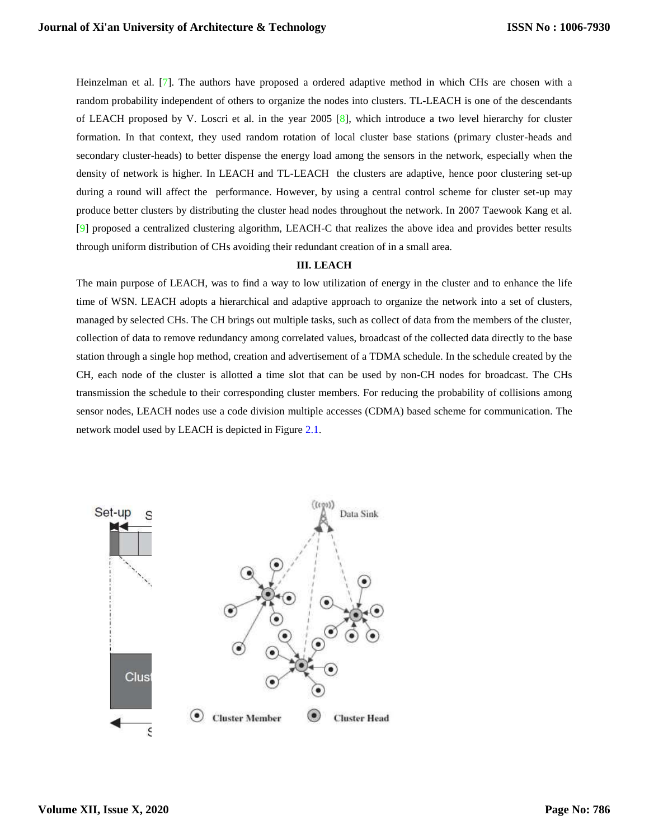Heinzelman et al. [7]. The authors have proposed a ordered adaptive method in which CHs are chosen with a random probability independent of others to organize the nodes into clusters. TL-LEACH is one of the descendants of LEACH proposed by V. Loscri et al. in the year 2005 [8], which introduce a two level hierarchy for cluster formation. In that context, they used random rotation of local cluster base stations (primary cluster-heads and secondary cluster-heads) to better dispense the energy load among the sensors in the network, especially when the density of network is higher. In LEACH and TL-LEACH the clusters are adaptive, hence poor clustering set-up during a round will affect the performance. However, by using a central control scheme for cluster set-up may produce better clusters by distributing the cluster head nodes throughout the network. In 2007 Taewook Kang et al. [9] proposed a centralized clustering algorithm, LEACH-C that realizes the above idea and provides better results through uniform distribution of CHs avoiding their redundant creation of in a small area.

#### **III. LEACH**

The main purpose of LEACH, was to find a way to low utilization of energy in the cluster and to enhance the life time of WSN. LEACH adopts a hierarchical and adaptive approach to organize the network into a set of clusters, managed by selected CHs. The CH brings out multiple tasks, such as collect of data from the members of the cluster, collection of data to remove redundancy among correlated values, broadcast of the collected data directly to the base station through a single hop method, creation and advertisement of a TDMA schedule. In the schedule created by the CH, each node of the cluster is allotted a time slot that can be used by non-CH nodes for broadcast. The CHs transmission the schedule to their corresponding cluster members. For reducing the probability of collisions among sensor nodes, LEACH nodes use a code division multiple accesses (CDMA) based scheme for communication. The network model used by LEACH is depicted in Figure 2.1.

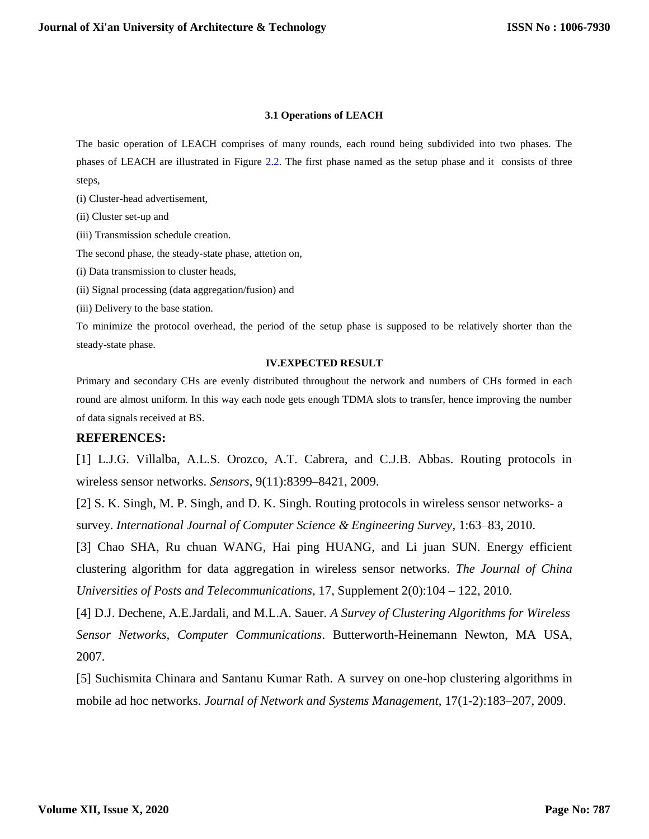### **3.1 Operations of LEACH**

The basic operation of LEACH comprises of many rounds, each round being subdivided into two phases. The phases of LEACH are illustrated in Figure 2.2. The first phase named as the setup phase and it consists of three steps,

(i) Cluster-head advertisement,

(ii) Cluster set-up and

(iii) Transmission schedule creation.

The second phase, the steady-state phase, attetion on,

(i) Data transmission to cluster heads,

(ii) Signal processing (data aggregation/fusion) and

(iii) Delivery to the base station.

To minimize the protocol overhead, the period of the setup phase is supposed to be relatively shorter than the steady-state phase.

#### **IV.EXPECTED RESULT**

Primary and secondary CHs are evenly distributed throughout the network and numbers of CHs formed in each round are almost uniform. In this way each node gets enough TDMA slots to transfer, hence improving the number of data signals received at BS.

## **REFERENCES:**

[1] L.J.G. Villalba, A.L.S. Orozco, A.T. Cabrera, and C.J.B. Abbas. Routing protocols in wireless sensor networks. *Sensors*, 9(11):8399–8421, 2009.

[2] S. K. Singh, M. P. Singh, and D. K. Singh. Routing protocols in wireless sensor networks- a survey. *International Journal of Computer Science & Engineering Survey*, 1:63–83, 2010.

[3] Chao SHA, Ru chuan WANG, Hai ping HUANG, and Li juan SUN. Energy efficient clustering algorithm for data aggregation in wireless sensor networks. *The Journal of China Universities of Posts and Telecommunications*, 17, Supplement 2(0):104 – 122, 2010.

[4] D.J. Dechene, A.E.Jardali, and M.L.A. Sauer. *A Survey of Clustering Algorithms for Wireless Sensor Networks, Computer Communications*. Butterworth-Heinemann Newton, MA USA, 2007.

[5] Suchismita Chinara and Santanu Kumar Rath. A survey on one-hop clustering algorithms in mobile ad hoc networks. *Journal of Network and Systems Management*, 17(1-2):183–207, 2009.